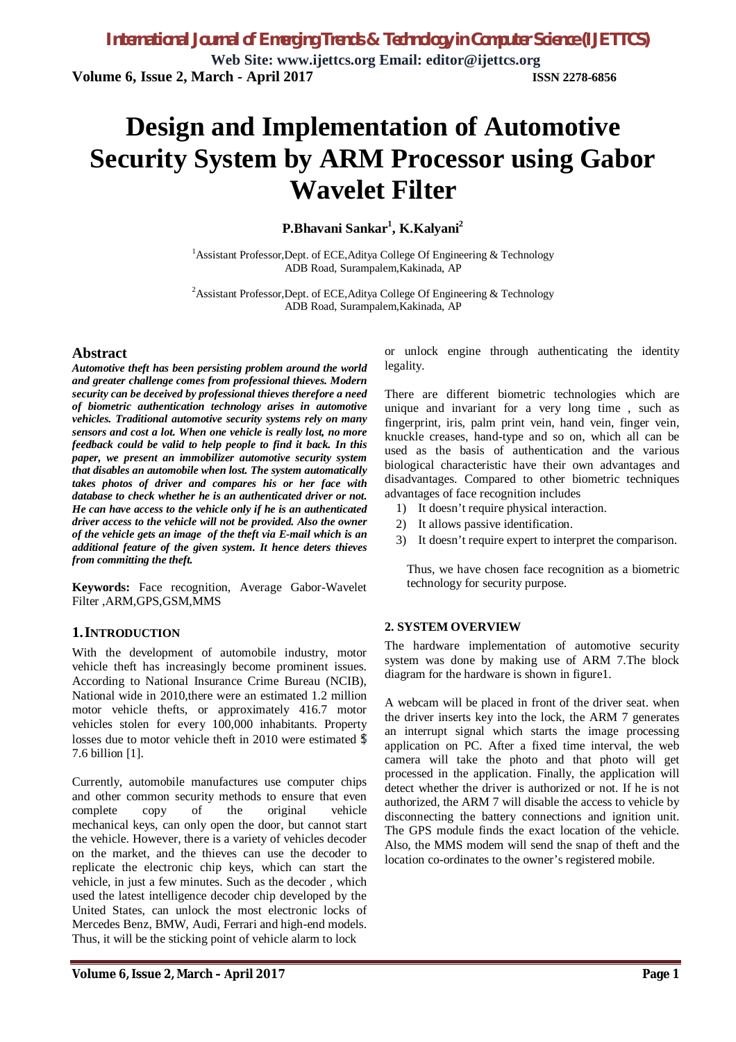# **Design and Implementation of Automotive Security System by ARM Processor using Gabor Wavelet Filter**

**P.Bhavani Sankar<sup>1</sup> , K.Kalyani<sup>2</sup>**

<sup>1</sup> Assistant Professor, Dept. of ECE, Aditya College Of Engineering  $\&$  Technology ADB Road, Surampalem,Kakinada, AP

<sup>2</sup>Assistant Professor,Dept. of ECE,Aditya College Of Engineering & Technology ADB Road, Surampalem,Kakinada, AP

### **Abstract**

*Automotive theft has been persisting problem around the world and greater challenge comes from professional thieves. Modern security can be deceived by professional thieves therefore a need of biometric authentication technology arises in automotive vehicles. Traditional automotive security systems rely on many sensors and cost a lot. When one vehicle is really lost, no more feedback could be valid to help people to find it back. In this paper, we present an immobilizer automotive security system that disables an automobile when lost. The system automatically takes photos of driver and compares his or her face with database to check whether he is an authenticated driver or not. He can have access to the vehicle only if he is an authenticated driver access to the vehicle will not be provided. Also the owner of the vehicle gets an image of the theft via E-mail which is an additional feature of the given system. It hence deters thieves from committing the theft.*

**Keywords:** Face recognition, Average Gabor-Wavelet Filter ,ARM,GPS,GSM,MMS

### **1.INTRODUCTION**

With the development of automobile industry, motor vehicle theft has increasingly become prominent issues. According to National Insurance Crime Bureau (NCIB), National wide in 2010,there were an estimated 1.2 million motor vehicle thefts, or approximately 416.7 motor vehicles stolen for every 100,000 inhabitants. Property losses due to motor vehicle theft in 2010 were estimated \$ 7.6 billion [1].

Currently, automobile manufactures use computer chips and other common security methods to ensure that even complete copy of the original vehicle mechanical keys, can only open the door, but cannot start the vehicle. However, there is a variety of vehicles decoder on the market, and the thieves can use the decoder to replicate the electronic chip keys, which can start the vehicle, in just a few minutes. Such as the decoder , which used the latest intelligence decoder chip developed by the United States, can unlock the most electronic locks of Mercedes Benz, BMW, Audi, Ferrari and high-end models. Thus, it will be the sticking point of vehicle alarm to lock

or unlock engine through authenticating the identity legality.

There are different biometric technologies which are unique and invariant for a very long time , such as fingerprint, iris, palm print vein, hand vein, finger vein, knuckle creases, hand-type and so on, which all can be used as the basis of authentication and the various biological characteristic have their own advantages and disadvantages. Compared to other biometric techniques advantages of face recognition includes

- 1) It doesn't require physical interaction.
- 2) It allows passive identification.
- 3) It doesn't require expert to interpret the comparison.

Thus, we have chosen face recognition as a biometric technology for security purpose.

### **2. SYSTEM OVERVIEW**

The hardware implementation of automotive security system was done by making use of ARM 7.The block diagram for the hardware is shown in figure1.

A webcam will be placed in front of the driver seat. when the driver inserts key into the lock, the ARM 7 generates an interrupt signal which starts the image processing application on PC. After a fixed time interval, the web camera will take the photo and that photo will get processed in the application. Finally, the application will detect whether the driver is authorized or not. If he is not authorized, the ARM 7 will disable the access to vehicle by disconnecting the battery connections and ignition unit. The GPS module finds the exact location of the vehicle. Also, the MMS modem will send the snap of theft and the location co-ordinates to the owner's registered mobile.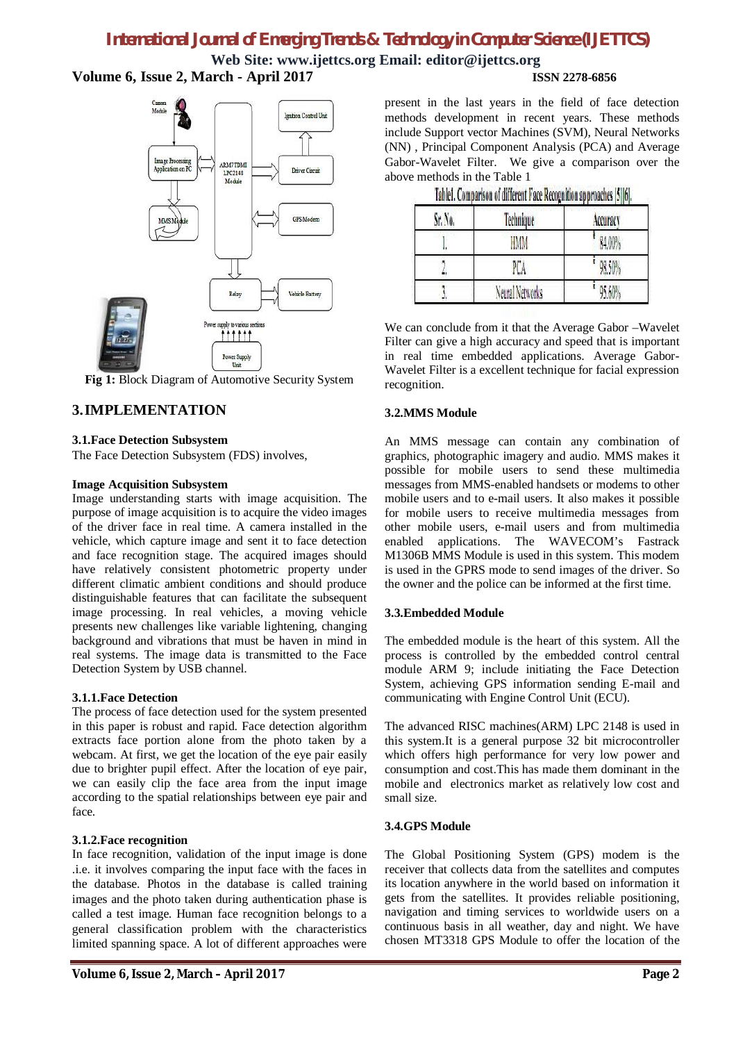**Web Site: [www.ijettcs.org](http://www.ijettcs.org) Email: [editor@ijettcs.org](mailto:editor@ijettcs.org) Volume 6, Issue 2, March - April 2017 ISSN 2278-6856**

# **Ignition Control Unit** Image Processing<br>Application on PC ARM7TDMI Driver Circu LPC2148 Module GPS Mode MMS M Relay Vehicle Battery Power simply to various section **111111** Power Supply

**Fig 1:** Block Diagram of Automotive Security System

# **3.IMPLEMENTATION**

### **3.1.Face Detection Subsystem**

The Face Detection Subsystem (FDS) involves,

### **Image Acquisition Subsystem**

Image understanding starts with image acquisition. The purpose of image acquisition is to acquire the video images of the driver face in real time. A camera installed in the vehicle, which capture image and sent it to face detection and face recognition stage. The acquired images should have relatively consistent photometric property under different climatic ambient conditions and should produce distinguishable features that can facilitate the subsequent image processing. In real vehicles, a moving vehicle presents new challenges like variable lightening, changing background and vibrations that must be haven in mind in real systems. The image data is transmitted to the Face Detection System by USB channel.

### **3.1.1.Face Detection**

The process of face detection used for the system presented in this paper is robust and rapid. Face detection algorithm extracts face portion alone from the photo taken by a webcam. At first, we get the location of the eye pair easily due to brighter pupil effect. After the location of eye pair, we can easily clip the face area from the input image according to the spatial relationships between eye pair and face.

### **3.1.2.Face recognition**

In face recognition, validation of the input image is done .i.e. it involves comparing the input face with the faces in the database. Photos in the database is called training images and the photo taken during authentication phase is called a test image. Human face recognition belongs to a general classification problem with the characteristics limited spanning space. A lot of different approaches were

present in the last years in the field of face detection methods development in recent years. These methods include Support vector Machines (SVM), Neural Networks (NN) , Principal Component Analysis (PCA) and Average Gabor-Wavelet Filter. We give a comparison over the above methods in the Table 1

| Sr. No. | Technique       | Accuracy |
|---------|-----------------|----------|
|         | HMM             | 84,00%   |
|         | PCA             | 98.50%   |
|         | Neural Networks | 95.60%   |

|  |  |  | Table1. Comparison of different Face Recognition approaches [5][6]. |  |  |
|--|--|--|---------------------------------------------------------------------|--|--|
|--|--|--|---------------------------------------------------------------------|--|--|

We can conclude from it that the Average Gabor –Wavelet Filter can give a high accuracy and speed that is important in real time embedded applications. Average Gabor-Wavelet Filter is a excellent technique for facial expression recognition.

### **3.2.MMS Module**

An MMS message can contain any combination of graphics, photographic imagery and audio. MMS makes it possible for mobile users to send these multimedia messages from MMS-enabled handsets or modems to other mobile users and to e-mail users. It also makes it possible for mobile users to receive multimedia messages from other mobile users, e-mail users and from multimedia enabled applications. The WAVECOM's Fastrack M1306B MMS Module is used in this system. This modem is used in the GPRS mode to send images of the driver. So the owner and the police can be informed at the first time.

### **3.3.Embedded Module**

The embedded module is the heart of this system. All the process is controlled by the embedded control central module ARM 9; include initiating the Face Detection System, achieving GPS information sending E-mail and communicating with Engine Control Unit (ECU).

The advanced RISC machines(ARM) LPC 2148 is used in this system.It is a general purpose 32 bit microcontroller which offers high performance for very low power and consumption and cost.This has made them dominant in the mobile and electronics market as relatively low cost and small size.

### **3.4.GPS Module**

The Global Positioning System (GPS) modem is the receiver that collects data from the satellites and computes its location anywhere in the world based on information it gets from the satellites. It provides reliable positioning, navigation and timing services to worldwide users on a continuous basis in all weather, day and night. We have chosen MT3318 GPS Module to offer the location of the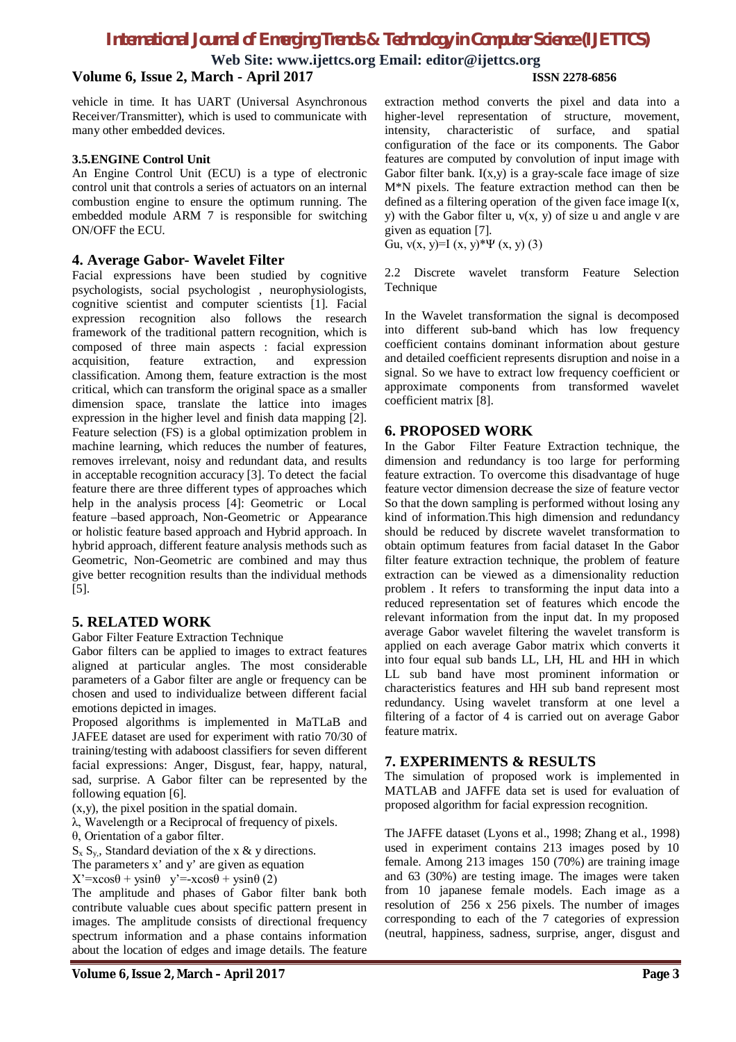**Web Site: [www.ijettcs.org](http://www.ijettcs.org) Email: [editor@ijettcs.org](mailto:editor@ijettcs.org)**

### **Volume 6, Issue 2, March - April 2017 ISSN 2278-6856**

vehicle in time. It has UART (Universal Asynchronous Receiver/Transmitter), which is used to communicate with many other embedded devices.

### **3.5.ENGINE Control Unit**

An Engine Control Unit (ECU) is a type of electronic control unit that controls a series of actuators on an internal combustion engine to ensure the optimum running. The embedded module ARM 7 is responsible for switching ON/OFF the ECU.

### **4. Average Gabor- Wavelet Filter**

Facial expressions have been studied by cognitive psychologists, social psychologist , neurophysiologists, cognitive scientist and computer scientists [1]. Facial expression recognition also follows the research framework of the traditional pattern recognition, which is composed of three main aspects : facial expression acquisition, feature extraction, and expression classification. Among them, feature extraction is the most critical, which can transform the original space as a smaller dimension space, translate the lattice into images expression in the higher level and finish data mapping [2]. Feature selection (FS) is a global optimization problem in machine learning, which reduces the number of features, removes irrelevant, noisy and redundant data, and results in acceptable recognition accuracy [3]. To detect the facial feature there are three different types of approaches which help in the analysis process [4]: Geometric or Local feature –based approach, Non-Geometric or Appearance or holistic feature based approach and Hybrid approach. In hybrid approach, different feature analysis methods such as Geometric, Non-Geometric are combined and may thus give better recognition results than the individual methods [5].

### **5. RELATED WORK**

### Gabor Filter Feature Extraction Technique

Gabor filters can be applied to images to extract features aligned at particular angles. The most considerable parameters of a Gabor filter are angle or frequency can be chosen and used to individualize between different facial emotions depicted in images.

Proposed algorithms is implemented in MaTLaB and JAFEE dataset are used for experiment with ratio 70/30 of training/testing with adaboost classifiers for seven different facial expressions: Anger, Disgust, fear, happy, natural, sad, surprise. A Gabor filter can be represented by the following equation [6].

(x,y), the pixel position in the spatial domain.

λ, Wavelength or a Reciprocal of frequency of pixels.

θ, Orientation of a gabor filter.

 $S_x S_y$ , Standard deviation of the x & y directions.

The parameters x' and y' are given as equation

 $X' = x\cos\theta + y\sin\theta$  y'=- $x\cos\theta + y\sin\theta$  (2)

The amplitude and phases of Gabor filter bank both contribute valuable cues about specific pattern present in images. The amplitude consists of directional frequency spectrum information and a phase contains information about the location of edges and image details. The feature

extraction method converts the pixel and data into a higher-level representation of structure, movement, intensity, characteristic of surface, and spatial configuration of the face or its components. The Gabor features are computed by convolution of input image with Gabor filter bank.  $I(x,y)$  is a gray-scale face image of size M\*N pixels. The feature extraction method can then be defined as a filtering operation of the given face image  $I(x)$ , y) with the Gabor filter u,  $v(x, y)$  of size u and angle v are given as equation [7].

Gu,  $v(x, y)=I(x, y)*\Psi(x, y)$  (3)

2.2 Discrete wavelet transform Feature Selection Technique

In the Wavelet transformation the signal is decomposed into different sub-band which has low frequency coefficient contains dominant information about gesture and detailed coefficient represents disruption and noise in a signal. So we have to extract low frequency coefficient or approximate components from transformed wavelet coefficient matrix [8].

### **6. PROPOSED WORK**

In the Gabor Filter Feature Extraction technique, the dimension and redundancy is too large for performing feature extraction. To overcome this disadvantage of huge feature vector dimension decrease the size of feature vector So that the down sampling is performed without losing any kind of information.This high dimension and redundancy should be reduced by discrete wavelet transformation to obtain optimum features from facial dataset In the Gabor filter feature extraction technique, the problem of feature extraction can be viewed as a dimensionality reduction problem . It refers to transforming the input data into a reduced representation set of features which encode the relevant information from the input dat. In my proposed average Gabor wavelet filtering the wavelet transform is applied on each average Gabor matrix which converts it into four equal sub bands LL, LH, HL and HH in which LL sub band have most prominent information or characteristics features and HH sub band represent most redundancy. Using wavelet transform at one level a filtering of a factor of 4 is carried out on average Gabor feature matrix.

### **7. EXPERIMENTS & RESULTS**

The simulation of proposed work is implemented in MATLAB and JAFFE data set is used for evaluation of proposed algorithm for facial expression recognition.

The JAFFE dataset (Lyons et al., 1998; Zhang et al., 1998) used in experiment contains 213 images posed by 10 female. Among 213 images 150 (70%) are training image and 63 (30%) are testing image. The images were taken from 10 japanese female models. Each image as a resolution of 256 x 256 pixels. The number of images corresponding to each of the 7 categories of expression (neutral, happiness, sadness, surprise, anger, disgust and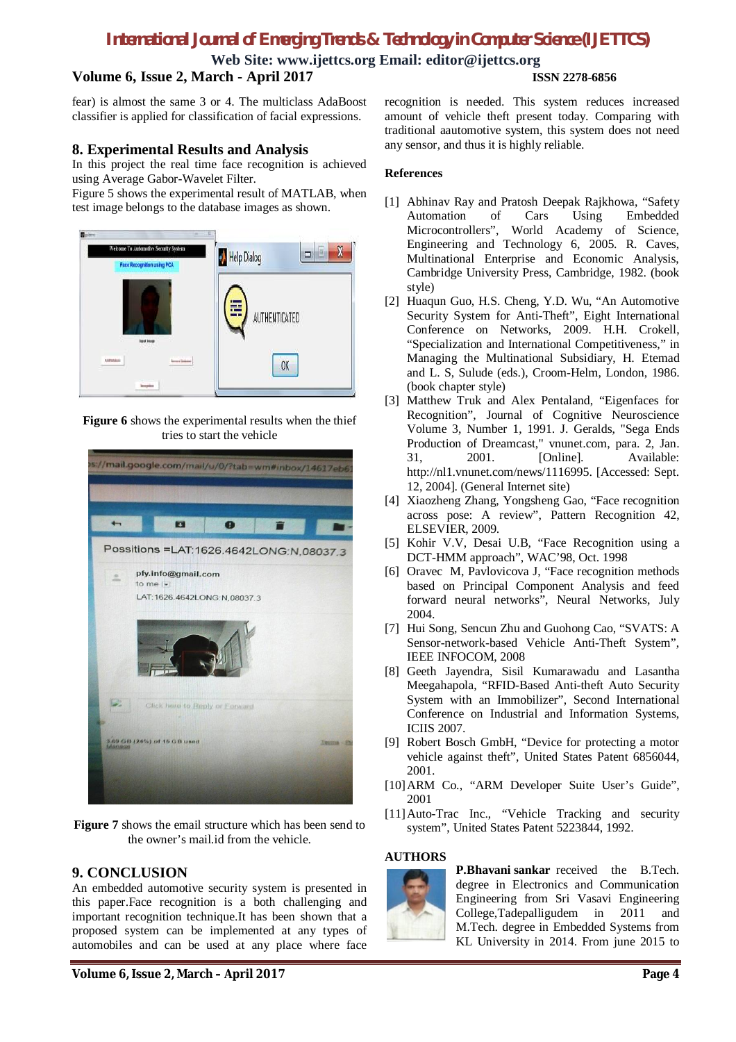**Web Site: [www.ijettcs.org](http://www.ijettcs.org) Email: [editor@ijettcs.org](mailto:editor@ijettcs.org)**

### **Volume 6, Issue 2, March - April 2017 ISSN 2278-6856**

fear) is almost the same 3 or 4. The multiclass AdaBoost classifier is applied for classification of facial expressions.

### **8. Experimental Results and Analysis**

In this project the real time face recognition is achieved using Average Gabor-Wavelet Filter.

Figure 5 shows the experimental result of MATLAB, when test image belongs to the database images as shown.



**Figure 6** shows the experimental results when the thief tries to start the vehicle



**Figure 7** shows the email structure which has been send to the owner's mail.id from the vehicle.

### **9. CONCLUSION**

An embedded automotive security system is presented in this paper.Face recognition is a both challenging and important recognition technique.It has been shown that a proposed system can be implemented at any types of automobiles and can be used at any place where face

recognition is needed. This system reduces increased amount of vehicle theft present today. Comparing with traditional aautomotive system, this system does not need any sensor, and thus it is highly reliable.

### **References**

- [1] Abhinav Ray and Pratosh Deepak Rajkhowa, "Safety Automation of Cars Using Embedded<br>Microcontrollers", World Academy of Science. Microcontrollers", World Academy Engineering and Technology 6, 2005. R. Caves, Multinational Enterprise and Economic Analysis, Cambridge University Press, Cambridge, 1982. (book style)
- [2] Huaqun Guo, H.S. Cheng, Y.D. Wu, "An Automotive Security System for Anti-Theft", Eight International Conference on Networks, 2009. H.H. Crokell, "Specialization and International Competitiveness," in Managing the Multinational Subsidiary, H. Etemad and L. S, Sulude (eds.), Croom-Helm, London, 1986. (book chapter style)
- [3] Matthew Truk and Alex Pentaland, "Eigenfaces for Recognition", Journal of Cognitive Neuroscience Volume 3, Number 1, 1991. J. Geralds, "Sega Ends Production of Dreamcast," vnunet.com, para. 2, Jan. 31, 2001. [Online]. Available: <http://nl1.vnunet.com/news/1116995.> [Accessed: Sept. 12, 2004]. (General Internet site)
- [4] Xiaozheng Zhang, Yongsheng Gao, "Face recognition across pose: A review", Pattern Recognition 42, ELSEVIER, 2009.
- [5] Kohir V.V, Desai U.B, "Face Recognition using a DCT-HMM approach", WAC'98, Oct. 1998
- [6] Oravec M, Pavlovicova J, "Face recognition methods based on Principal Component Analysis and feed forward neural networks", Neural Networks, July 2004.
- [7] Hui Song, Sencun Zhu and Guohong Cao, "SVATS: A Sensor-network-based Vehicle Anti-Theft System", IEEE INFOCOM, 2008
- [8] Geeth Jayendra, Sisil Kumarawadu and Lasantha Meegahapola, "RFID-Based Anti-theft Auto Security System with an Immobilizer", Second International Conference on Industrial and Information Systems, ICIIS 2007.
- [9] Robert Bosch GmbH, "Device for protecting a motor vehicle against theft", United States Patent 6856044, 2001.
- [10]ARM Co., "ARM Developer Suite User's Guide", 2001
- [11]Auto-Trac Inc., "Vehicle Tracking and security system", United States Patent 5223844, 1992.

### **AUTHORS**



**P.Bhavani sankar** received the B.Tech. degree in Electronics and Communication Engineering from Sri Vasavi Engineering College,Tadepalligudem in 2011 and M.Tech. degree in Embedded Systems from KL University in 2014. From june 2015 to